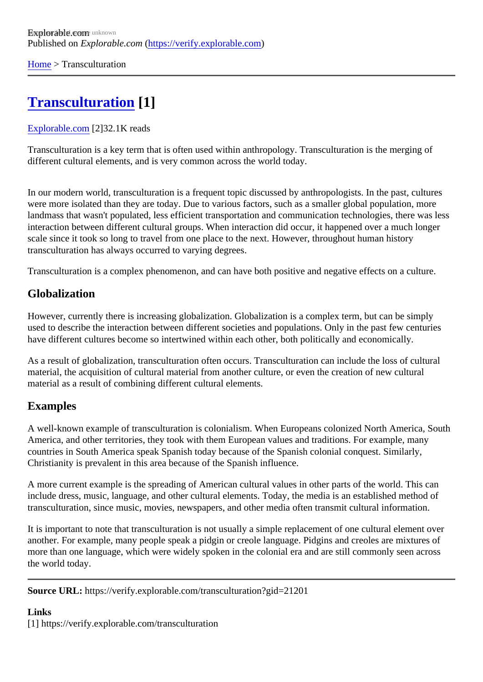[Home](https://verify.explorable.com/)> Transculturation

## [Transculturation](https://verify.explorable.com/transculturation) [1]

## [Explorable.com](https://verify.explorable.com/)[2]32.1K reads

Transculturation is a key term that is often used within anthropology. Transculturation is the merging of different cultural elements, and is very common across the world today.

In our modern world, transculturation is a frequent topic discussed by anthropologists. In the past, cultures were more isolated than they are today. Due to various factors, such as a smaller global population, more landmass that wasn't populated, less efficient transportation and communication technologies, there was I interaction between different cultural groups. When interaction did occur, it happened over a much longer scale since it took so long to travel from one place to the next. However, throughout human history transculturation has always occurred to varying degrees.

Transculturation is a complex phenomenon, and can have both positive and negative effects on a culture.

## Globalization

However, currently there is increasing globalization. Globalization is a complex term, but can be simply used to describe the interaction between different societies and populations. Only in the past few centuries have different cultures become so intertwined within each other, both politically and economically.

As a result of globalization, transculturation often occurs. Transculturation can include the loss of cultural material, the acquisition of cultural material from another culture, or even the creation of new cultural material as a result of combining different cultural elements.

## Examples

A well-known example of transculturation is colonialism. When Europeans colonized North America, South America, and other territories, they took with them European values and traditions. For example, many countries in South America speak Spanish today because of the Spanish colonial conquest. Similarly, Christianity is prevalent in this area because of the Spanish influence.

A more current example is the spreading of American cultural values in other parts of the world. This can include dress, music, language, and other cultural elements. Today, the media is an established method of transculturation, since music, movies, newspapers, and other media often transmit cultural information.

It is important to note that transculturation is not usually a simple replacement of one cultural element over another. For example, many people speak a pidgin or creole language. Pidgins and creoles are mixtures of more than one language, which were widely spoken in the colonial era and are still commonly seen across the world today.

Source URL: https://verify.explorable.com/transculturation?gid=21201

Links [1] https://verify.explorable.com/transculturation